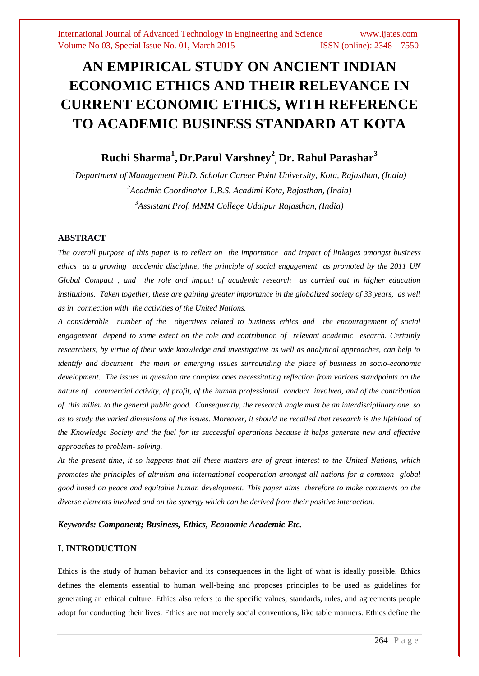# **AN EMPIRICAL STUDY ON ANCIENT INDIAN ECONOMIC ETHICS AND THEIR RELEVANCE IN CURRENT ECONOMIC ETHICS, WITH REFERENCE TO ACADEMIC BUSINESS STANDARD AT KOTA**

## **Ruchi Sharma<sup>1</sup> , Dr.Parul Varshney<sup>2</sup> , Dr. Rahul Parashar<sup>3</sup>**

*<sup>1</sup>Department of Management Ph.D. Scholar Career Point University, Kota, Rajasthan, (India) <sup>2</sup>Acadmic Coordinator L.B.S. Acadimi Kota, Rajasthan, (India) <sup>3</sup>Assistant Prof. MMM College Udaipur Rajasthan, (India)*

#### **ABSTRACT**

*The overall purpose of this paper is to reflect on the importance and impact of linkages amongst business ethics as a growing academic discipline, the principle of social engagement as promoted by the 2011 UN Global Compact , and the role and impact of academic research as carried out in higher education institutions. Taken together, these are gaining greater importance in the globalized society of 33 years, as well as in connection with the activities of the United Nations.* 

*A considerable number of the objectives related to business ethics and the encouragement of social engagement depend to some extent on the role and contribution of relevant academic esearch. Certainly researchers, by virtue of their wide knowledge and investigative as well as analytical approaches, can help to identify and document the main or emerging issues surrounding the place of business in socio-economic development. The issues in question are complex ones necessitating reflection from various standpoints on the nature of commercial activity, of profit, of the human professional conduct involved, and of the contribution of this milieu to the general public good. Consequently, the research angle must be an interdisciplinary one so as to study the varied dimensions of the issues. Moreover, it should be recalled that research is the lifeblood of the Knowledge Society and the fuel for its successful operations because it helps generate new and effective approaches to problem- solving.*

*At the present time, it so happens that all these matters are of great interest to the United Nations, which promotes the principles of altruism and international cooperation amongst all nations for a common global good based on peace and equitable human development. This paper aims therefore to make comments on the diverse elements involved and on the synergy which can be derived from their positive interaction.*

#### *Keywords: Component; Business, Ethics, Economic Academic Etc.*

#### **I. INTRODUCTION**

Ethics is the study of human behavior and its consequences in the light of what is ideally possible. Ethics defines the elements essential to human well-being and proposes principles to be used as guidelines for generating an ethical culture. Ethics also refers to the specific values, standards, rules, and agreements people adopt for conducting their lives. Ethics are not merely social conventions, like table manners. Ethics define the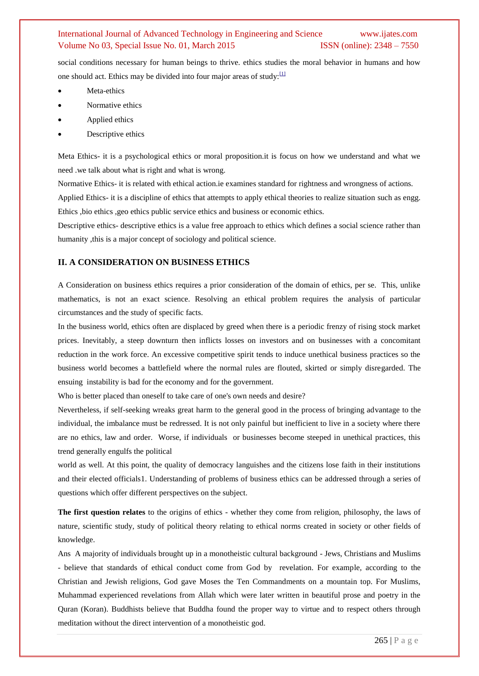social conditions necessary for human beings to thrive. ethics studies the moral behavior in humans and how one should act. Ethics may be divided into four major areas of study: $[1]$ 

- Meta-ethics
- Normative ethics
- Applied ethics
- Descriptive ethics

Meta Ethics- it is a psychological ethics or moral proposition.it is focus on how we understand and what we need .we talk about what is right and what is wrong.

Normative Ethics- it is related with ethical action.ie examines standard for rightness and wrongness of actions.

Applied Ethics- it is a discipline of ethics that attempts to apply ethical theories to realize situation such as engg. Ethics ,bio ethics ,geo ethics public service ethics and business or economic ethics.

Descriptive ethics- descriptive ethics is a value free approach to ethics which defines a social science rather than humanity , this is a major concept of sociology and political science.

### **II. A CONSIDERATION ON BUSINESS ETHICS**

A Consideration on business ethics requires a prior consideration of the domain of ethics, per se. This, unlike mathematics, is not an exact science. Resolving an ethical problem requires the analysis of particular circumstances and the study of specific facts.

In the business world, ethics often are displaced by greed when there is a periodic frenzy of rising stock market prices. Inevitably, a steep downturn then inflicts losses on investors and on businesses with a concomitant reduction in the work force. An excessive competitive spirit tends to induce unethical business practices so the business world becomes a battlefield where the normal rules are flouted, skirted or simply disregarded. The ensuing instability is bad for the economy and for the government.

Who is better placed than oneself to take care of one's own needs and desire?

Nevertheless, if self-seeking wreaks great harm to the general good in the process of bringing advantage to the individual, the imbalance must be redressed. It is not only painful but inefficient to live in a society where there are no ethics, law and order. Worse, if individuals or businesses become steeped in unethical practices, this trend generally engulfs the political

world as well. At this point, the quality of democracy languishes and the citizens lose faith in their institutions and their elected officials1. Understanding of problems of business ethics can be addressed through a series of questions which offer different perspectives on the subject.

**The first question relates** to the origins of ethics - whether they come from religion, philosophy, the laws of nature, scientific study, study of political theory relating to ethical norms created in society or other fields of knowledge.

Ans A majority of individuals brought up in a monotheistic cultural background - Jews, Christians and Muslims - believe that standards of ethical conduct come from God by revelation. For example, according to the Christian and Jewish religions, God gave Moses the Ten Commandments on a mountain top. For Muslims, Muhammad experienced revelations from Allah which were later written in beautiful prose and poetry in the Quran (Koran). Buddhists believe that Buddha found the proper way to virtue and to respect others through meditation without the direct intervention of a monotheistic god.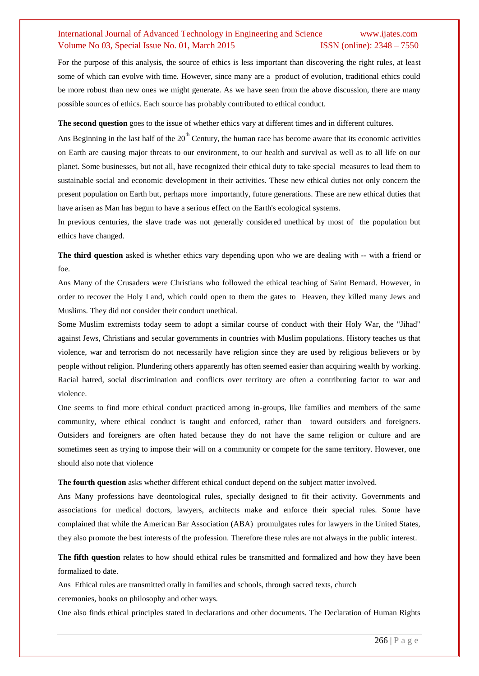For the purpose of this analysis, the source of ethics is less important than discovering the right rules, at least some of which can evolve with time. However, since many are a product of evolution, traditional ethics could be more robust than new ones we might generate. As we have seen from the above discussion, there are many possible sources of ethics. Each source has probably contributed to ethical conduct.

**The second question** goes to the issue of whether ethics vary at different times and in different cultures.

Ans Beginning in the last half of the  $20<sup>th</sup>$  Century, the human race has become aware that its economic activities on Earth are causing major threats to our environment, to our health and survival as well as to all life on our planet. Some businesses, but not all, have recognized their ethical duty to take special measures to lead them to sustainable social and economic development in their activities. These new ethical duties not only concern the present population on Earth but, perhaps more importantly, future generations. These are new ethical duties that have arisen as Man has begun to have a serious effect on the Earth's ecological systems.

In previous centuries, the slave trade was not generally considered unethical by most of the population but ethics have changed.

**The third question** asked is whether ethics vary depending upon who we are dealing with -- with a friend or foe.

Ans Many of the Crusaders were Christians who followed the ethical teaching of Saint Bernard. However, in order to recover the Holy Land, which could open to them the gates to Heaven, they killed many Jews and Muslims. They did not consider their conduct unethical.

Some Muslim extremists today seem to adopt a similar course of conduct with their Holy War, the "Jihad" against Jews, Christians and secular governments in countries with Muslim populations. History teaches us that violence, war and terrorism do not necessarily have religion since they are used by religious believers or by people without religion. Plundering others apparently has often seemed easier than acquiring wealth by working. Racial hatred, social discrimination and conflicts over territory are often a contributing factor to war and violence.

One seems to find more ethical conduct practiced among in-groups, like families and members of the same community, where ethical conduct is taught and enforced, rather than toward outsiders and foreigners. Outsiders and foreigners are often hated because they do not have the same religion or culture and are sometimes seen as trying to impose their will on a community or compete for the same territory. However, one should also note that violence

**The fourth question** asks whether different ethical conduct depend on the subject matter involved.

Ans Many professions have deontological rules, specially designed to fit their activity. Governments and associations for medical doctors, lawyers, architects make and enforce their special rules. Some have complained that while the American Bar Association (ABA) promulgates rules for lawyers in the United States, they also promote the best interests of the profession. Therefore these rules are not always in the public interest.

**The fifth question** relates to how should ethical rules be transmitted and formalized and how they have been formalized to date.

Ans Ethical rules are transmitted orally in families and schools, through sacred texts, church ceremonies, books on philosophy and other ways.

One also finds ethical principles stated in declarations and other documents. The Declaration of Human Rights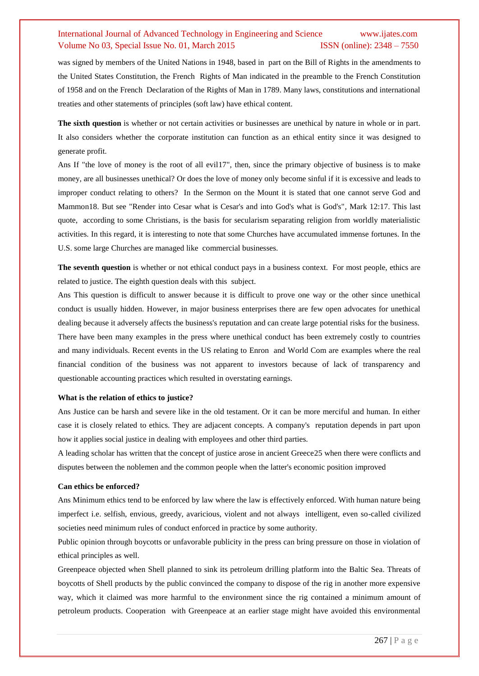was signed by members of the United Nations in 1948, based in part on the Bill of Rights in the amendments to the United States Constitution, the French Rights of Man indicated in the preamble to the French Constitution of 1958 and on the French Declaration of the Rights of Man in 1789. Many laws, constitutions and international treaties and other statements of principles (soft law) have ethical content.

**The sixth question** is whether or not certain activities or businesses are unethical by nature in whole or in part. It also considers whether the corporate institution can function as an ethical entity since it was designed to generate profit.

Ans If "the love of money is the root of all evil17", then, since the primary objective of business is to make money, are all businesses unethical? Or does the love of money only become sinful if it is excessive and leads to improper conduct relating to others? In the Sermon on the Mount it is stated that one cannot serve God and Mammon18. But see "Render into Cesar what is Cesar's and into God's what is God's", Mark 12:17. This last quote, according to some Christians, is the basis for secularism separating religion from worldly materialistic activities. In this regard, it is interesting to note that some Churches have accumulated immense fortunes. In the U.S. some large Churches are managed like commercial businesses.

**The seventh question** is whether or not ethical conduct pays in a business context. For most people, ethics are related to justice. The eighth question deals with this subject.

Ans This question is difficult to answer because it is difficult to prove one way or the other since unethical conduct is usually hidden. However, in major business enterprises there are few open advocates for unethical dealing because it adversely affects the business's reputation and can create large potential risks for the business. There have been many examples in the press where unethical conduct has been extremely costly to countries and many individuals. Recent events in the US relating to Enron and World Com are examples where the real financial condition of the business was not apparent to investors because of lack of transparency and questionable accounting practices which resulted in overstating earnings.

#### **What is the relation of ethics to justice?**

Ans Justice can be harsh and severe like in the old testament. Or it can be more merciful and human. In either case it is closely related to ethics. They are adjacent concepts. A company's reputation depends in part upon how it applies social justice in dealing with employees and other third parties.

A leading scholar has written that the concept of justice arose in ancient Greece25 when there were conflicts and disputes between the noblemen and the common people when the latter's economic position improved

#### **Can ethics be enforced?**

Ans Minimum ethics tend to be enforced by law where the law is effectively enforced. With human nature being imperfect i.e. selfish, envious, greedy, avaricious, violent and not always intelligent, even so-called civilized societies need minimum rules of conduct enforced in practice by some authority.

Public opinion through boycotts or unfavorable publicity in the press can bring pressure on those in violation of ethical principles as well.

Greenpeace objected when Shell planned to sink its petroleum drilling platform into the Baltic Sea. Threats of boycotts of Shell products by the public convinced the company to dispose of the rig in another more expensive way, which it claimed was more harmful to the environment since the rig contained a minimum amount of petroleum products. Cooperation with Greenpeace at an earlier stage might have avoided this environmental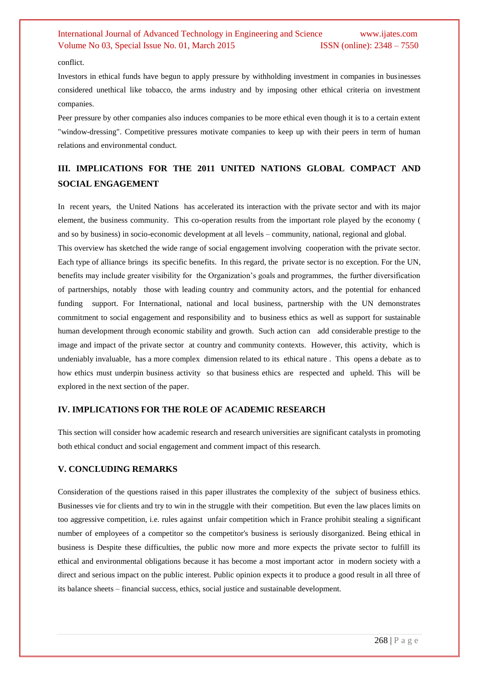#### conflict.

Investors in ethical funds have begun to apply pressure by withholding investment in companies in businesses considered unethical like tobacco, the arms industry and by imposing other ethical criteria on investment companies.

Peer pressure by other companies also induces companies to be more ethical even though it is to a certain extent "window-dressing". Competitive pressures motivate companies to keep up with their peers in term of human relations and environmental conduct.

## **III. IMPLICATIONS FOR THE 2011 UNITED NATIONS GLOBAL COMPACT AND SOCIAL ENGAGEMENT**

In recent years, the United Nations has accelerated its interaction with the private sector and with its major element, the business community. This co-operation results from the important role played by the economy ( and so by business) in socio-economic development at all levels – community, national, regional and global.

This overview has sketched the wide range of social engagement involving cooperation with the private sector. Each type of alliance brings its specific benefits. In this regard, the private sector is no exception. For the UN, benefits may include greater visibility for the Organization's goals and programmes, the further diversification of partnerships, notably those with leading country and community actors, and the potential for enhanced funding support. For International, national and local business, partnership with the UN demonstrates commitment to social engagement and responsibility and to business ethics as well as support for sustainable human development through economic stability and growth. Such action can add considerable prestige to the image and impact of the private sector at country and community contexts. However, this activity, which is undeniably invaluable, has a more complex dimension related to its ethical nature . This opens a debate as to how ethics must underpin business activity so that business ethics are respected and upheld. This will be explored in the next section of the paper.

#### **IV. IMPLICATIONS FOR THE ROLE OF ACADEMIC RESEARCH**

This section will consider how academic research and research universities are significant catalysts in promoting both ethical conduct and social engagement and comment impact of this research.

#### **V. CONCLUDING REMARKS**

Consideration of the questions raised in this paper illustrates the complexity of the subject of business ethics. Businesses vie for clients and try to win in the struggle with their competition. But even the law places limits on too aggressive competition, i.e. rules against unfair competition which in France prohibit stealing a significant number of employees of a competitor so the competitor's business is seriously disorganized. Being ethical in business is Despite these difficulties, the public now more and more expects the private sector to fulfill its ethical and environmental obligations because it has become a most important actor in modern society with a direct and serious impact on the public interest. Public opinion expects it to produce a good result in all three of its balance sheets – financial success, ethics, social justice and sustainable development.